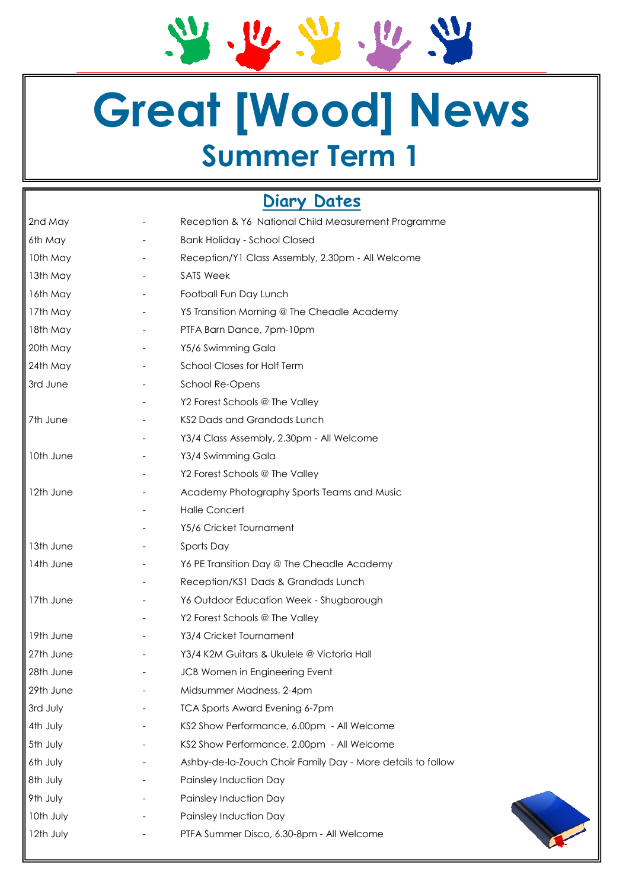21. 22. 22. 22. 22

# **Great [Wood] News Summer Term 1**

## **Diary Dates**

| 2nd May   |                          | Reception & Y6 National Child Measurement Programme         |  |  |
|-----------|--------------------------|-------------------------------------------------------------|--|--|
| 6th May   |                          | <b>Bank Holiday - School Closed</b>                         |  |  |
| 10th May  |                          | Reception/Y1 Class Assembly, 2.30pm - All Welcome           |  |  |
| 13th May  |                          | <b>SATS Week</b>                                            |  |  |
| 16th May  |                          | Football Fun Day Lunch                                      |  |  |
| 17th May  |                          | Y5 Transition Morning @ The Cheadle Academy                 |  |  |
| 18th May  |                          | PTFA Barn Dance, 7pm-10pm                                   |  |  |
| 20th May  |                          | Y5/6 Swimming Gala                                          |  |  |
| 24th May  |                          | School Closes for Half Term                                 |  |  |
| 3rd June  |                          | School Re-Opens                                             |  |  |
|           |                          | Y2 Forest Schools @ The Valley                              |  |  |
| 7th June  |                          | KS2 Dads and Grandads Lunch                                 |  |  |
|           |                          | Y3/4 Class Assembly, 2.30pm - All Welcome                   |  |  |
| 10th June | $\overline{\phantom{a}}$ | Y3/4 Swimming Gala                                          |  |  |
|           |                          | Y2 Forest Schools @ The Valley                              |  |  |
| 12th June |                          | Academy Photography Sports Teams and Music                  |  |  |
|           |                          | <b>Halle Concert</b>                                        |  |  |
|           |                          | Y5/6 Cricket Tournament                                     |  |  |
| 13th June |                          | Sports Day                                                  |  |  |
| 14th June |                          | Y6 PE Transition Day @ The Cheadle Academy                  |  |  |
|           |                          | Reception/KS1 Dads & Grandads Lunch                         |  |  |
| 17th June |                          | Y6 Outdoor Education Week - Shugborough                     |  |  |
|           |                          | Y2 Forest Schools @ The Valley                              |  |  |
| 19th June |                          | Y3/4 Cricket Tournament                                     |  |  |
| 27th June | $\overline{\phantom{a}}$ | Y3/4 K2M Guitars & Ukulele @ Victoria Hall                  |  |  |
| 28th June | $\overline{\phantom{a}}$ | JCB Women in Engineering Event                              |  |  |
| 29th June |                          | Midsummer Madness, 2-4pm                                    |  |  |
| 3rd July  |                          | <b>TCA Sports Award Evening 6-7pm</b>                       |  |  |
| 4th July  |                          | KS2 Show Performance, 6.00pm - All Welcome                  |  |  |
| 5th July  |                          | KS2 Show Performance, 2.00pm - All Welcome                  |  |  |
| 6th July  |                          | Ashby-de-la-Zouch Choir Family Day - More details to follow |  |  |
| 8th July  |                          | Painsley Induction Day                                      |  |  |
| 9th July  |                          | Painsley Induction Day                                      |  |  |
| 10th July |                          | Painsley Induction Day                                      |  |  |
| 12th July |                          | PTFA Summer Disco, 6.30-8pm - All Welcome                   |  |  |
|           |                          |                                                             |  |  |